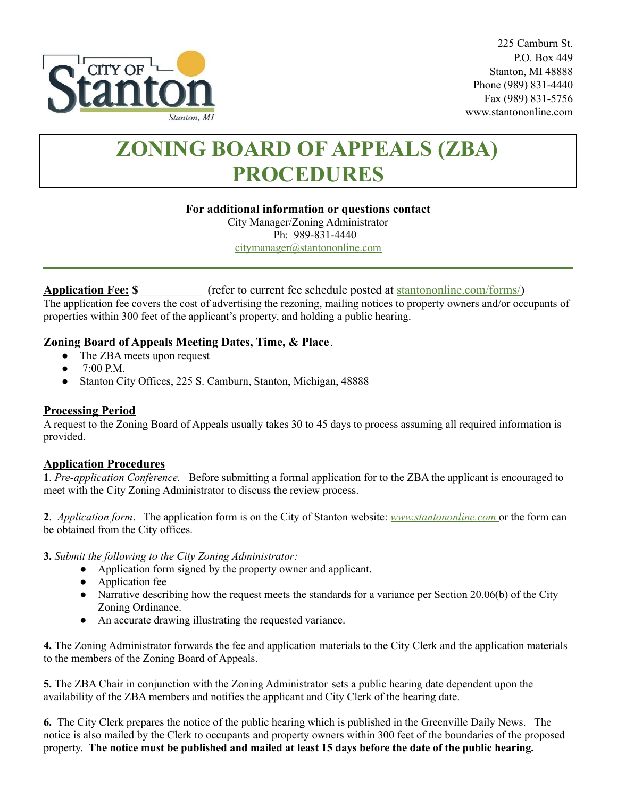

225 Camburn St. P.O. Box 449 Stanton, MI 48888 Phone (989) 831-4440 Fax (989) 831-5756 www.stantononline.com

# **ZONING BOARD OF APPEALS (ZBA) PROCEDURES**

#### **For additional information or questions contact**

City Manager/Zoning Administrator Ph: 989-831-4440 [citymanager@stantononline.com](mailto:citymanager@stantononline.com)

# **Application Fee: \$** \_\_\_\_\_\_\_\_\_\_ (refer to current fee schedule posted at [stantononline.com/forms/\)](https://stantononline.com/forms/)

The application fee covers the cost of advertising the rezoning, mailing notices to property owners and/or occupants of properties within 300 feet of the applicant's property, and holding a public hearing.

# **Zoning Board of Appeals Meeting Dates, Time, & Place**.

- The ZBA meets upon request
- $\bullet$  7:00 P.M.
- Stanton City Offices, 225 S. Camburn, Stanton, Michigan, 48888

# **Processing Period**

A request to the Zoning Board of Appeals usually takes 30 to 45 days to process assuming all required information is provided.

#### **Application Procedures**

**1**. *Pre-application Conference.* Before submitting a formal application for to the ZBA the applicant is encouraged to meet with the City Zoning Administrator to discuss the review process.

**2**. *Application form*. The application form is on the City of Stanton website: *[www.s](http://www.waytwp.org)tantononline.com* or the form can be obtained from the City offices.

**3.** *Submit the following to the City Zoning Administrator:*

- Application form signed by the property owner and applicant.
- Application fee
- Narrative describing how the request meets the standards for a variance per Section 20.06(b) of the City Zoning Ordinance.
- An accurate drawing illustrating the requested variance.

**4.** The Zoning Administrator forwards the fee and application materials to the City Clerk and the application materials to the members of the Zoning Board of Appeals.

**5.** The ZBA Chair in conjunction with the Zoning Administrator sets a public hearing date dependent upon the availability of the ZBA members and notifies the applicant and City Clerk of the hearing date.

**6.** The City Clerk prepares the notice of the public hearing which is published in the Greenville Daily News. The notice is also mailed by the Clerk to occupants and property owners within 300 feet of the boundaries of the proposed property. The notice must be published and mailed at least 15 days before the date of the public hearing.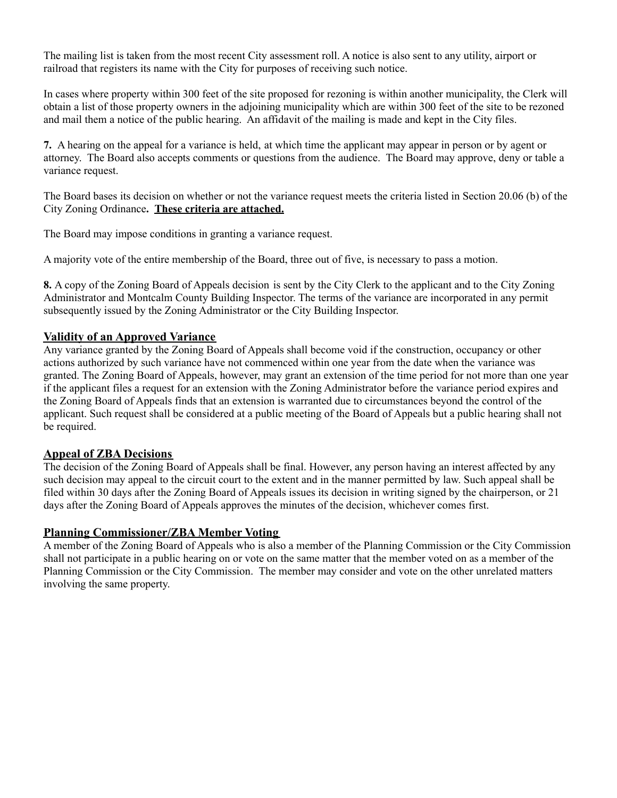The mailing list is taken from the most recent City assessment roll. A notice is also sent to any utility, airport or railroad that registers its name with the City for purposes of receiving such notice.

In cases where property within 300 feet of the site proposed for rezoning is within another municipality, the Clerk will obtain a list of those property owners in the adjoining municipality which are within 300 feet of the site to be rezoned and mail them a notice of the public hearing. An affidavit of the mailing is made and kept in the City files.

**7.** A hearing on the appeal for a variance is held, at which time the applicant may appear in person or by agent or attorney. The Board also accepts comments or questions from the audience. The Board may approve, deny or table a variance request.

The Board bases its decision on whether or not the variance request meets the criteria listed in Section 20.06 (b) of the City Zoning Ordinance**. These criteria are attached.**

The Board may impose conditions in granting a variance request.

A majority vote of the entire membership of the Board, three out of five, is necessary to pass a motion.

**8.** A copy of the Zoning Board of Appeals decision is sent by the City Clerk to the applicant and to the City Zoning Administrator and Montcalm County Building Inspector. The terms of the variance are incorporated in any permit subsequently issued by the Zoning Administrator or the City Building Inspector.

#### **Validity of an Approved Variance**

Any variance granted by the Zoning Board of Appeals shall become void if the construction, occupancy or other actions authorized by such variance have not commenced within one year from the date when the variance was granted. The Zoning Board of Appeals, however, may grant an extension of the time period for not more than one year if the applicant files a request for an extension with the Zoning Administrator before the variance period expires and the Zoning Board of Appeals finds that an extension is warranted due to circumstances beyond the control of the applicant. Such request shall be considered at a public meeting of the Board of Appeals but a public hearing shall not be required.

#### **Appeal of ZBA Decisions**

The decision of the Zoning Board of Appeals shall be final. However, any person having an interest affected by any such decision may appeal to the circuit court to the extent and in the manner permitted by law. Such appeal shall be filed within 30 days after the Zoning Board of Appeals issues its decision in writing signed by the chairperson, or 21 days after the Zoning Board of Appeals approves the minutes of the decision, whichever comes first.

#### **Planning Commissioner/ZBA Member Voting**

A member of the Zoning Board of Appeals who is also a member of the Planning Commission or the City Commission shall not participate in a public hearing on or vote on the same matter that the member voted on as a member of the Planning Commission or the City Commission. The member may consider and vote on the other unrelated matters involving the same property.